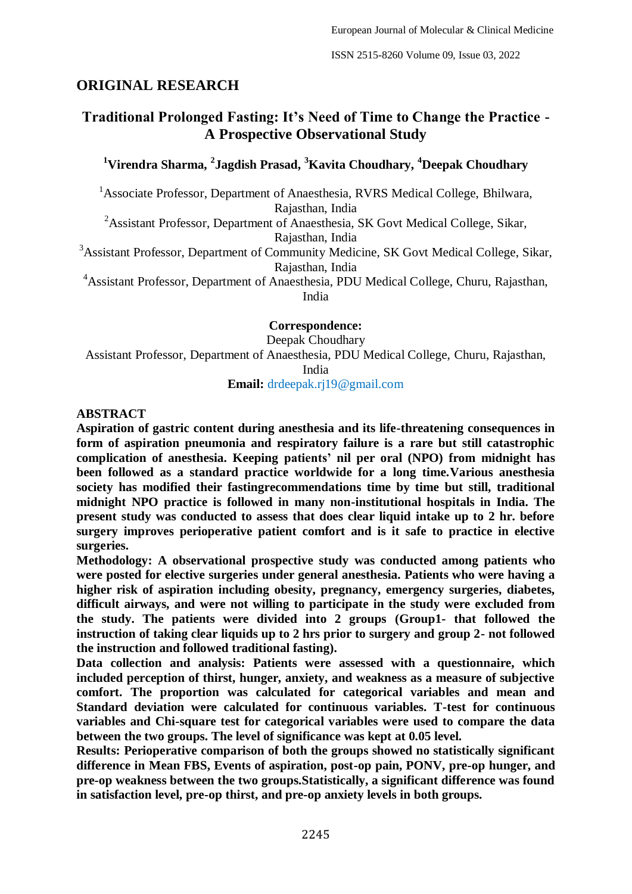## **ORIGINAL RESEARCH**

# **Traditional Prolonged Fasting: It's Need of Time to Change the Practice - A Prospective Observational Study**

## **<sup>1</sup>Virendra Sharma, <sup>2</sup> Jagdish Prasad, <sup>3</sup>Kavita Choudhary, <sup>4</sup>Deepak Choudhary**

<sup>1</sup>Associate Professor, Department of Anaesthesia, RVRS Medical College, Bhilwara, Rajasthan, India

<sup>2</sup>Assistant Professor, Department of Anaesthesia, SK Govt Medical College, Sikar,

Rajasthan, India

<sup>3</sup>Assistant Professor, Department of Community Medicine, SK Govt Medical College, Sikar, Rajasthan, India

<sup>4</sup>Assistant Professor, Department of Anaesthesia, PDU Medical College, Churu, Rajasthan, India

**Correspondence:**

Deepak Choudhary Assistant Professor, Department of Anaesthesia, PDU Medical College, Churu, Rajasthan, India

**Email:** drdeepak.rj19@gmail.com

## **ABSTRACT**

**Aspiration of gastric content during anesthesia and its life-threatening consequences in form of aspiration pneumonia and respiratory failure is a rare but still catastrophic complication of anesthesia. Keeping patients' nil per oral (NPO) from midnight has been followed as a standard practice worldwide for a long time.Various anesthesia society has modified their fastingrecommendations time by time but still, traditional midnight NPO practice is followed in many non-institutional hospitals in India. The present study was conducted to assess that does clear liquid intake up to 2 hr. before surgery improves perioperative patient comfort and is it safe to practice in elective surgeries.** 

**Methodology: A observational prospective study was conducted among patients who were posted for elective surgeries under general anesthesia. Patients who were having a higher risk of aspiration including obesity, pregnancy, emergency surgeries, diabetes, difficult airways, and were not willing to participate in the study were excluded from the study. The patients were divided into 2 groups (Group1- that followed the instruction of taking clear liquids up to 2 hrs prior to surgery and group 2- not followed the instruction and followed traditional fasting).** 

**Data collection and analysis: Patients were assessed with a questionnaire, which included perception of thirst, hunger, anxiety, and weakness as a measure of subjective comfort. The proportion was calculated for categorical variables and mean and Standard deviation were calculated for continuous variables. T-test for continuous variables and Chi-square test for categorical variables were used to compare the data between the two groups. The level of significance was kept at 0.05 level.** 

**Results: Perioperative comparison of both the groups showed no statistically significant difference in Mean FBS, Events of aspiration, post-op pain, PONV, pre-op hunger, and pre-op weakness between the two groups.Statistically, a significant difference was found in satisfaction level, pre-op thirst, and pre-op anxiety levels in both groups.**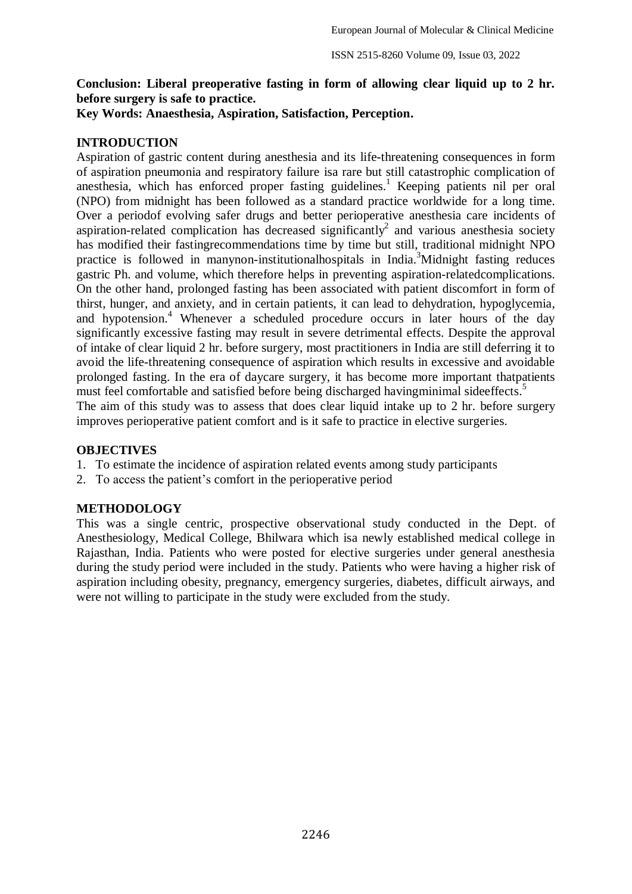## **Conclusion: Liberal preoperative fasting in form of allowing clear liquid up to 2 hr. before surgery is safe to practice.**

**Key Words: Anaesthesia, Aspiration, Satisfaction, Perception.**

#### **INTRODUCTION**

Aspiration of gastric content during anesthesia and its life-threatening consequences in form of aspiration pneumonia and respiratory failure isa rare but still catastrophic complication of anesthesia, which has enforced proper fasting guidelines. <sup>1</sup> Keeping patients nil per oral (NPO) from midnight has been followed as a standard practice worldwide for a long time. Over a periodof evolving safer drugs and better perioperative anesthesia care incidents of aspiration-related complication has decreased significantly<sup>2</sup> and various anesthesia society has modified their fastingrecommendations time by time but still, traditional midnight NPO practice is followed in manynon-institutional hospitals in India.<sup>3</sup>Midnight fasting reduces gastric Ph. and volume, which therefore helps in preventing aspiration-relatedcomplications. On the other hand, prolonged fasting has been associated with patient discomfort in form of thirst, hunger, and anxiety, and in certain patients, it can lead to dehydration, hypoglycemia, and hypotension. <sup>4</sup> Whenever a scheduled procedure occurs in later hours of the day significantly excessive fasting may result in severe detrimental effects. Despite the approval of intake of clear liquid 2 hr. before surgery, most practitioners in India are still deferring it to avoid the life-threatening consequence of aspiration which results in excessive and avoidable prolonged fasting. In the era of daycare surgery, it has become more important thatpatients must feel comfortable and satisfied before being discharged havingminimal sideeffects.<sup>5</sup> The aim of this study was to assess that does clear liquid intake up to 2 hr. before surgery improves perioperative patient comfort and is it safe to practice in elective surgeries.

#### **OBJECTIVES**

- 1. To estimate the incidence of aspiration related events among study participants
- 2. To access the patient's comfort in the perioperative period

#### **METHODOLOGY**

This was a single centric, prospective observational study conducted in the Dept. of Anesthesiology, Medical College, Bhilwara which isa newly established medical college in Rajasthan, India. Patients who were posted for elective surgeries under general anesthesia during the study period were included in the study. Patients who were having a higher risk of aspiration including obesity, pregnancy, emergency surgeries, diabetes, difficult airways, and were not willing to participate in the study were excluded from the study.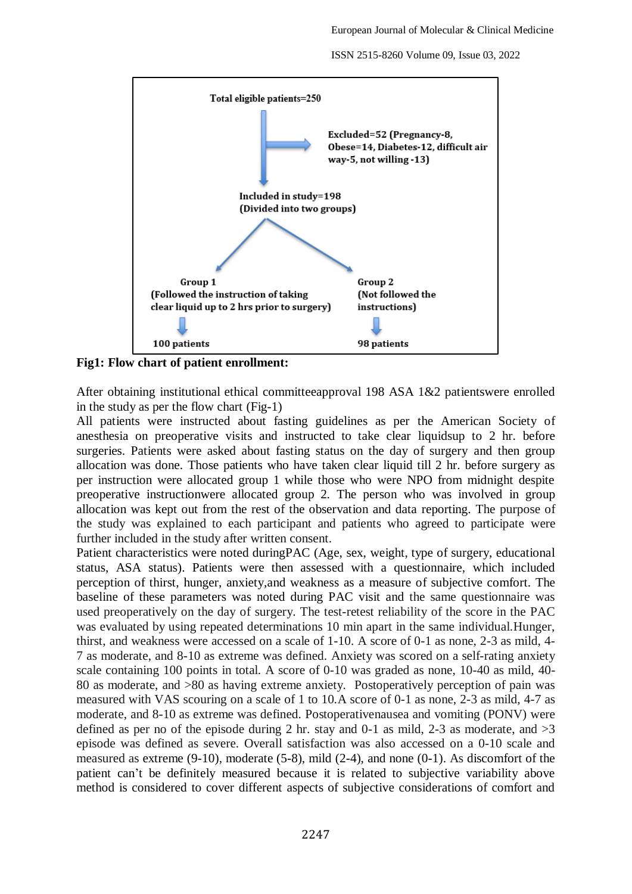

**Fig1: Flow chart of patient enrollment:**

After obtaining institutional ethical committeeapproval 198 ASA 1&2 patientswere enrolled in the study as per the flow chart (Fig-1)

All patients were instructed about fasting guidelines as per the American Society of anesthesia on preoperative visits and instructed to take clear liquidsup to 2 hr. before surgeries. Patients were asked about fasting status on the day of surgery and then group allocation was done. Those patients who have taken clear liquid till 2 hr. before surgery as per instruction were allocated group 1 while those who were NPO from midnight despite preoperative instructionwere allocated group 2. The person who was involved in group allocation was kept out from the rest of the observation and data reporting. The purpose of the study was explained to each participant and patients who agreed to participate were further included in the study after written consent.

Patient characteristics were noted duringPAC (Age, sex, weight, type of surgery, educational status, ASA status). Patients were then assessed with a questionnaire, which included perception of thirst, hunger, anxiety,and weakness as a measure of subjective comfort. The baseline of these parameters was noted during PAC visit and the same questionnaire was used preoperatively on the day of surgery. The test-retest reliability of the score in the PAC was evaluated by using repeated determinations 10 min apart in the same individual.Hunger, thirst, and weakness were accessed on a scale of 1-10. A score of 0-1 as none, 2-3 as mild, 4- 7 as moderate, and 8-10 as extreme was defined. Anxiety was scored on a self-rating anxiety scale containing 100 points in total. A score of 0-10 was graded as none, 10-40 as mild, 40- 80 as moderate, and >80 as having extreme anxiety. Postoperatively perception of pain was measured with VAS scouring on a scale of 1 to 10.A score of 0-1 as none, 2-3 as mild, 4-7 as moderate, and 8-10 as extreme was defined. Postoperativenausea and vomiting (PONV) were defined as per no of the episode during 2 hr. stay and 0-1 as mild, 2-3 as moderate, and  $>3$ episode was defined as severe. Overall satisfaction was also accessed on a 0-10 scale and measured as extreme (9-10), moderate (5-8), mild (2-4), and none (0-1). As discomfort of the patient can't be definitely measured because it is related to subjective variability above method is considered to cover different aspects of subjective considerations of comfort and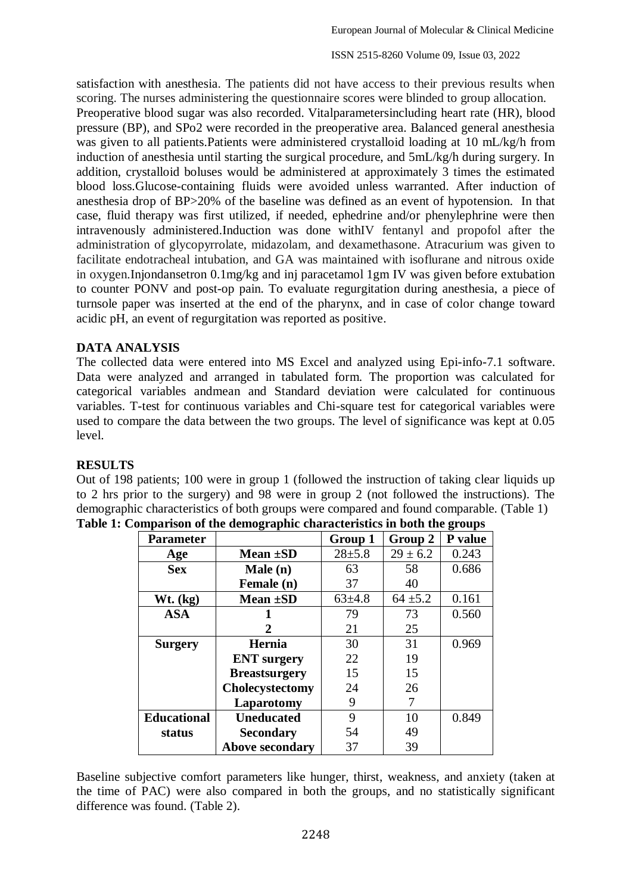satisfaction with anesthesia. The patients did not have access to their previous results when scoring. The nurses administering the questionnaire scores were blinded to group allocation. Preoperative blood sugar was also recorded. Vitalparametersincluding heart rate (HR), blood pressure (BP), and SPo2 were recorded in the preoperative area. Balanced general anesthesia was given to all patients.Patients were administered crystalloid loading at 10 mL/kg/h from induction of anesthesia until starting the surgical procedure, and 5mL/kg/h during surgery. In addition, crystalloid boluses would be administered at approximately 3 times the estimated blood loss.Glucose-containing fluids were avoided unless warranted. After induction of anesthesia drop of BP>20% of the baseline was defined as an event of hypotension. In that case, fluid therapy was first utilized, if needed, ephedrine and/or phenylephrine were then intravenously administered.Induction was done withIV fentanyl and propofol after the administration of glycopyrrolate, midazolam, and dexamethasone. Atracurium was given to facilitate endotracheal intubation, and GA was maintained with isoflurane and nitrous oxide in oxygen.Injondansetron 0.1mg/kg and inj paracetamol 1gm IV was given before extubation to counter PONV and post-op pain. To evaluate regurgitation during anesthesia, a piece of turnsole paper was inserted at the end of the pharynx, and in case of color change toward acidic pH, an event of regurgitation was reported as positive.

## **DATA ANALYSIS**

The collected data were entered into MS Excel and analyzed using Epi-info-7.1 software. Data were analyzed and arranged in tabulated form. The proportion was calculated for categorical variables andmean and Standard deviation were calculated for continuous variables. T-test for continuous variables and Chi-square test for categorical variables were used to compare the data between the two groups. The level of significance was kept at 0.05 level.

### **RESULTS**

Out of 198 patients; 100 were in group 1 (followed the instruction of taking clear liquids up to 2 hrs prior to the surgery) and 98 were in group 2 (not followed the instructions). The demographic characteristics of both groups were compared and found comparable. (Table 1)

| <b>Parameter</b>   |                        | Group 1      | Group 2      | P value |
|--------------------|------------------------|--------------|--------------|---------|
| Age                | Mean ±SD               | $28 + 5.8$   | $29 \pm 6.2$ | 0.243   |
| <b>Sex</b>         | Male (n)               | 63           | 58           | 0.686   |
|                    | Female (n)             | 37           | 40           |         |
| Wt. (kg)           | Mean ±SD               | $63{\pm}4.8$ | $64 \pm 5.2$ | 0.161   |
| <b>ASA</b>         |                        | 79           | 73           | 0.560   |
|                    | 2                      | 21           | 25           |         |
| <b>Surgery</b>     | Hernia                 | 30           | 31           | 0.969   |
|                    | <b>ENT</b> surgery     | 22           | 19           |         |
|                    | <b>Breastsurgery</b>   | 15           | 15           |         |
|                    | Cholecystectomy        | 24           | 26           |         |
|                    | Laparotomy             | 9            | 7            |         |
| <b>Educational</b> | <b>Uneducated</b>      | 9            | 10           | 0.849   |
| status             | <b>Secondary</b>       | 54           | 49           |         |
|                    | <b>Above secondary</b> | 37           | 39           |         |

|  | Table 1: Comparison of the demographic characteristics in both the groups |  |  |
|--|---------------------------------------------------------------------------|--|--|
|  |                                                                           |  |  |

Baseline subjective comfort parameters like hunger, thirst, weakness, and anxiety (taken at the time of PAC) were also compared in both the groups, and no statistically significant difference was found. (Table 2).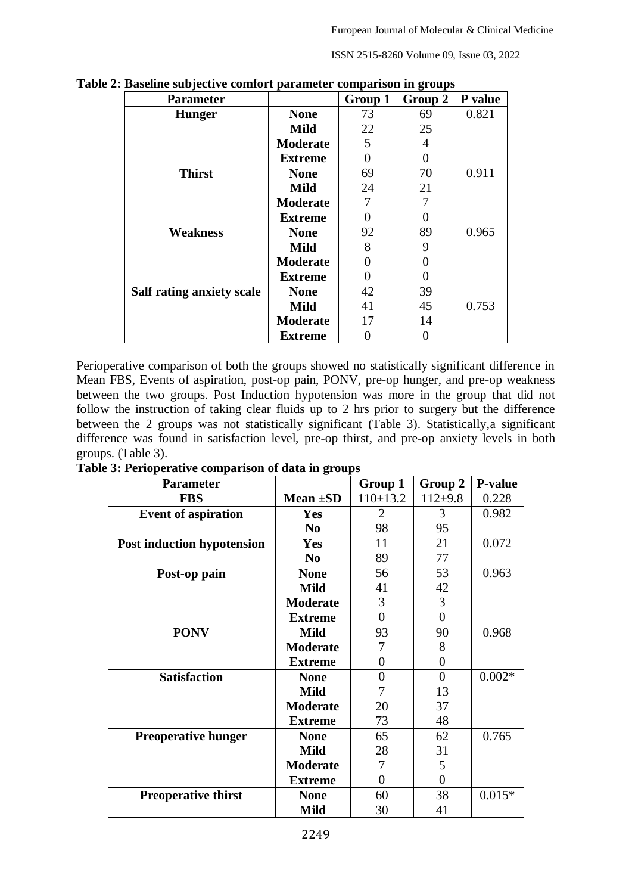| <b>Parameter</b>          |                 | Group 1 | o<br>Group 2 | P value |
|---------------------------|-----------------|---------|--------------|---------|
| <b>Hunger</b>             | <b>None</b>     | 73      | 69           | 0.821   |
|                           | <b>Mild</b>     | 22      | 25           |         |
|                           | <b>Moderate</b> | 5       | 4            |         |
|                           | <b>Extreme</b>  | 0       | $\Omega$     |         |
| <b>Thirst</b>             | <b>None</b>     | 69      | 70           | 0.911   |
|                           | <b>Mild</b>     | 24      | 21           |         |
|                           | <b>Moderate</b> |         |              |         |
|                           | <b>Extreme</b>  | 0       | ∩            |         |
| <b>Weakness</b>           | <b>None</b>     | 92      | 89           | 0.965   |
|                           | <b>Mild</b>     | 8       | 9            |         |
|                           | <b>Moderate</b> |         |              |         |
|                           | <b>Extreme</b>  |         |              |         |
| Salf rating anxiety scale | <b>None</b>     | 42      | 39           |         |
|                           | <b>Mild</b>     | 41      | 45           | 0.753   |
|                           | <b>Moderate</b> | 17      | 14           |         |
|                           | <b>Extreme</b>  |         |              |         |

**Table 2: Baseline subjective comfort parameter comparison in groups**

Perioperative comparison of both the groups showed no statistically significant difference in Mean FBS, Events of aspiration, post-op pain, PONV, pre-op hunger, and pre-op weakness between the two groups. Post Induction hypotension was more in the group that did not follow the instruction of taking clear fluids up to 2 hrs prior to surgery but the difference between the 2 groups was not statistically significant (Table 3). Statistically,a significant difference was found in satisfaction level, pre-op thirst, and pre-op anxiety levels in both groups. (Table 3).

**Table 3: Perioperative comparison of data in groups** 

| <b>Parameter</b>                  |                 | Group 1        | Group 2   | <b>P-value</b> |
|-----------------------------------|-----------------|----------------|-----------|----------------|
| <b>FBS</b>                        | Mean $\pm SD$   | $110 \pm 13.2$ | $112+9.8$ | 0.228          |
| <b>Event of aspiration</b>        | <b>Yes</b>      | $\overline{2}$ | 3         | 0.982          |
|                                   | N <sub>0</sub>  | 98             | 95        |                |
| <b>Post induction hypotension</b> | <b>Yes</b>      | 11             | 21        | 0.072          |
|                                   | N <sub>0</sub>  | 89             | 77        |                |
| Post-op pain                      | <b>None</b>     | 56             | 53        | 0.963          |
|                                   | <b>Mild</b>     | 41             | 42        |                |
|                                   | <b>Moderate</b> | 3              | 3         |                |
|                                   | <b>Extreme</b>  | $\theta$       | $\theta$  |                |
| <b>PONV</b>                       | <b>Mild</b>     | 93             | 90        | 0.968          |
|                                   | <b>Moderate</b> | 7              | 8         |                |
|                                   | <b>Extreme</b>  | 0              | 0         |                |
| <b>Satisfaction</b>               | <b>None</b>     | $\theta$       | $\theta$  | $0.002*$       |
|                                   | <b>Mild</b>     | 7              | 13        |                |
|                                   | <b>Moderate</b> | 20             | 37        |                |
|                                   | <b>Extreme</b>  | 73             | 48        |                |
| <b>Preoperative hunger</b>        | <b>None</b>     | 65             | 62        | 0.765          |
|                                   | <b>Mild</b>     | 28             | 31        |                |
|                                   | <b>Moderate</b> | 7              | 5         |                |
|                                   | <b>Extreme</b>  | 0              | 0         |                |
| <b>Preoperative thirst</b>        | <b>None</b>     | 60             | 38        | $0.015*$       |
|                                   | <b>Mild</b>     | 30             | 41        |                |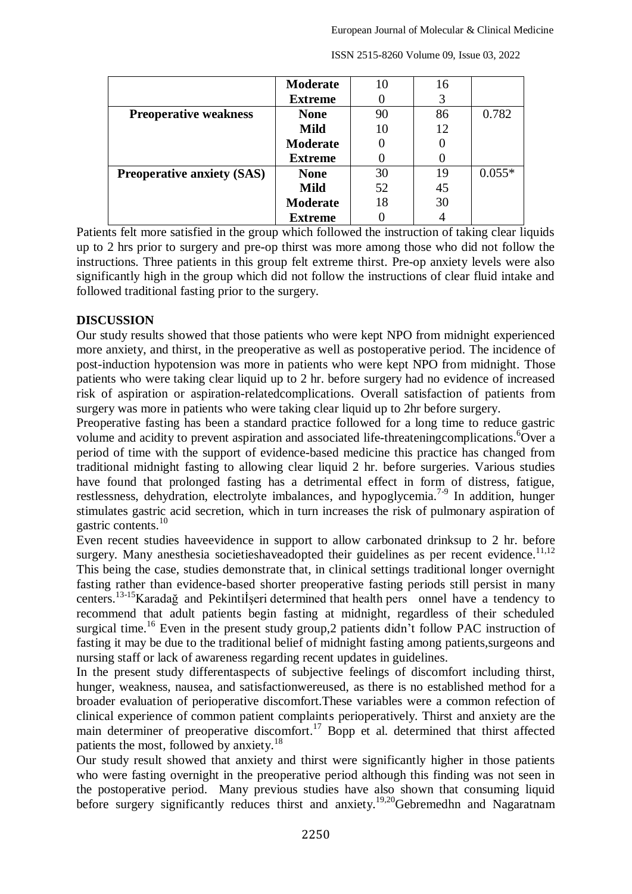|                                   | <b>Moderate</b> |    | 16 |          |
|-----------------------------------|-----------------|----|----|----------|
|                                   | <b>Extreme</b>  |    | 3  |          |
| <b>Preoperative weakness</b>      | <b>None</b>     | 90 | 86 | 0.782    |
|                                   | <b>Mild</b>     |    | 12 |          |
|                                   | <b>Moderate</b> |    |    |          |
|                                   | <b>Extreme</b>  |    |    |          |
| <b>Preoperative anxiety (SAS)</b> | <b>None</b>     | 30 | 19 | $0.055*$ |
|                                   | <b>Mild</b>     | 52 | 45 |          |
|                                   | <b>Moderate</b> | 18 | 30 |          |
|                                   | <b>Extreme</b>  |    |    |          |

Patients felt more satisfied in the group which followed the instruction of taking clear liquids up to 2 hrs prior to surgery and pre-op thirst was more among those who did not follow the instructions. Three patients in this group felt extreme thirst. Pre-op anxiety levels were also significantly high in the group which did not follow the instructions of clear fluid intake and followed traditional fasting prior to the surgery.

### **DISCUSSION**

Our study results showed that those patients who were kept NPO from midnight experienced more anxiety, and thirst, in the preoperative as well as postoperative period. The incidence of post-induction hypotension was more in patients who were kept NPO from midnight. Those patients who were taking clear liquid up to 2 hr. before surgery had no evidence of increased risk of aspiration or aspiration-relatedcomplications. Overall satisfaction of patients from surgery was more in patients who were taking clear liquid up to 2hr before surgery.

Preoperative fasting has been a standard practice followed for a long time to reduce gastric volume and acidity to prevent aspiration and associated life-threatening complications. Over a period of time with the support of evidence-based medicine this practice has changed from traditional midnight fasting to allowing clear liquid 2 hr. before surgeries. Various studies have found that prolonged fasting has a detrimental effect in form of distress, fatigue, restlessness, dehydration, electrolyte imbalances, and hypoglycemia.<sup>7-9</sup> In addition, hunger stimulates gastric acid secretion, which in turn increases the risk of pulmonary aspiration of gastric contents.<sup>10</sup>

Even recent studies haveevidence in support to allow carbonated drinksup to 2 hr. before surgery. Many anesthesia societieshaveadopted their guidelines as per recent evidence.<sup>11,12</sup> This being the case, studies demonstrate that, in clinical settings traditional longer overnight fasting rather than evidence-based shorter preoperative fasting periods still persist in many centers.13-15Karadağ and Pekintiİşeri determined that health pers onnel have a tendency to recommend that adult patients begin fasting at midnight, regardless of their scheduled surgical time.<sup>16</sup> Even in the present study group,2 patients didn't follow PAC instruction of fasting it may be due to the traditional belief of midnight fasting among patients,surgeons and nursing staff or lack of awareness regarding recent updates in guidelines.

In the present study differentaspects of subjective feelings of discomfort including thirst, hunger, weakness, nausea, and satisfactionwereused, as there is no established method for a broader evaluation of perioperative discomfort.These variables were a common refection of clinical experience of common patient complaints perioperatively. Thirst and anxiety are the main determiner of preoperative discomfort.<sup>17</sup> Bopp et al. determined that thirst affected patients the most, followed by anxiety.<sup>18</sup>

Our study result showed that anxiety and thirst were significantly higher in those patients who were fasting overnight in the preoperative period although this finding was not seen in the postoperative period. Many previous studies have also shown that consuming liquid before surgery significantly reduces thirst and anxiety.<sup>19,20</sup>Gebremedhn and Nagaratnam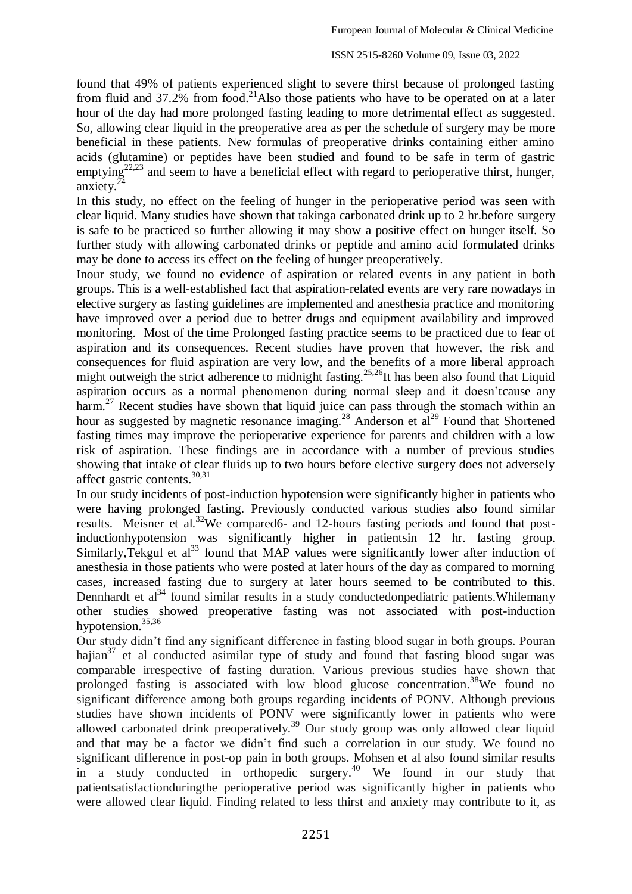found that 49% of patients experienced slight to severe thirst because of prolonged fasting from fluid and 37.2% from food.<sup>21</sup>Also those patients who have to be operated on at a later hour of the day had more prolonged fasting leading to more detrimental effect as suggested. So, allowing clear liquid in the preoperative area as per the schedule of surgery may be more beneficial in these patients. New formulas of preoperative drinks containing either amino acids (glutamine) or peptides have been studied and found to be safe in term of gastric emptying<sup>22,23</sup> and seem to have a beneficial effect with regard to perioperative thirst, hunger, anxiety. $24$ 

In this study, no effect on the feeling of hunger in the perioperative period was seen with clear liquid. Many studies have shown that takinga carbonated drink up to 2 hr.before surgery is safe to be practiced so further allowing it may show a positive effect on hunger itself. So further study with allowing carbonated drinks or peptide and amino acid formulated drinks may be done to access its effect on the feeling of hunger preoperatively.

Inour study, we found no evidence of aspiration or related events in any patient in both groups. This is a well-established fact that aspiration-related events are very rare nowadays in elective surgery as fasting guidelines are implemented and anesthesia practice and monitoring have improved over a period due to better drugs and equipment availability and improved monitoring. Most of the time Prolonged fasting practice seems to be practiced due to fear of aspiration and its consequences. Recent studies have proven that however, the risk and consequences for fluid aspiration are very low, and the benefits of a more liberal approach might outweigh the strict adherence to midnight fasting.<sup>25,26</sup>It has been also found that Liquid aspiration occurs as a normal phenomenon during normal sleep and it doesn'tcause any harm.<sup>27</sup> Recent studies have shown that liquid juice can pass through the stomach within an hour as suggested by magnetic resonance imaging.<sup>28</sup> Anderson et al<sup>29</sup> Found that Shortened fasting times may improve the perioperative experience for parents and children with a low risk of aspiration. These findings are in accordance with a number of previous studies showing that intake of clear fluids up to two hours before elective surgery does not adversely affect gastric contents. 30,31

In our study incidents of post-induction hypotension were significantly higher in patients who were having prolonged fasting. Previously conducted various studies also found similar results. Meisner et al.<sup>32</sup>We compared6- and 12-hours fasting periods and found that postinductionhypotension was significantly higher in patientsin 12 hr. fasting group. Similarly, Tekgul et  $al^{33}$  found that MAP values were significantly lower after induction of anesthesia in those patients who were posted at later hours of the day as compared to morning cases, increased fasting due to surgery at later hours seemed to be contributed to this. Dennhardt et  $al<sup>34</sup>$  found similar results in a study conductedonpediatric patients. Whilemany other studies showed preoperative fasting was not associated with post-induction hypotension.<sup>35,36</sup>

Our study didn't find any significant difference in fasting blood sugar in both groups. Pouran hajian $37$  et al conducted asimilar type of study and found that fasting blood sugar was comparable irrespective of fasting duration. Various previous studies have shown that prolonged fasting is associated with low blood glucose concentration.<sup>38</sup>We found no significant difference among both groups regarding incidents of PONV. Although previous studies have shown incidents of PONV were significantly lower in patients who were allowed carbonated drink preoperatively.<sup>39</sup> Our study group was only allowed clear liquid and that may be a factor we didn't find such a correlation in our study. We found no significant difference in post-op pain in both groups. Mohsen et al also found similar results in a study conducted in orthopedic surgery.<sup>40</sup> We found in our study that patientsatisfactionduringthe perioperative period was significantly higher in patients who were allowed clear liquid. Finding related to less thirst and anxiety may contribute to it, as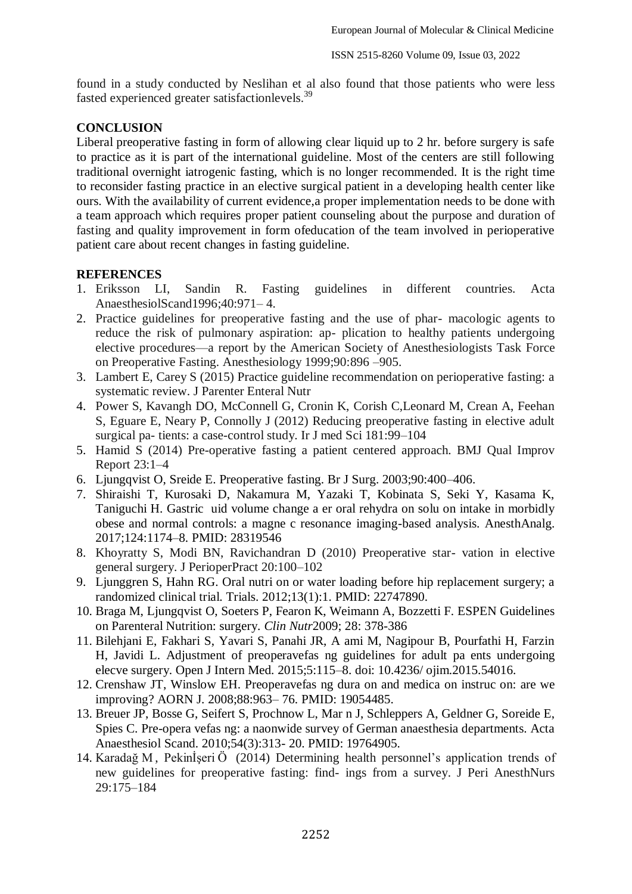found in a study conducted by Neslihan et al also found that those patients who were less fasted experienced greater satisfactionlevels.<sup>39</sup>

## **CONCLUSION**

Liberal preoperative fasting in form of allowing clear liquid up to 2 hr. before surgery is safe to practice as it is part of the international guideline. Most of the centers are still following traditional overnight iatrogenic fasting, which is no longer recommended. It is the right time to reconsider fasting practice in an elective surgical patient in a developing health center like ours. With the availability of current evidence,a proper implementation needs to be done with a team approach which requires proper patient counseling about the purpose and duration of fasting and quality improvement in form ofeducation of the team involved in perioperative patient care about recent changes in fasting guideline.

## **REFERENCES**

- 1. Eriksson LI, Sandin R. Fasting guidelines in different countries. Acta AnaesthesiolScand1996;40:971– 4.
- 2. Practice guidelines for preoperative fasting and the use of phar- macologic agents to reduce the risk of pulmonary aspiration: ap- plication to healthy patients undergoing elective procedures—a report by the American Society of Anesthesiologists Task Force on Preoperative Fasting. Anesthesiology 1999;90:896 –905.
- 3. Lambert E, Carey S (2015) Practice guideline recommendation on perioperative fasting: a systematic review. J Parenter Enteral Nutr
- 4. Power S, Kavangh DO, McConnell G, Cronin K, Corish C,Leonard M, Crean A, Feehan S, Eguare E, Neary P, Connolly J (2012) Reducing preoperative fasting in elective adult surgical pa- tients: a case-control study. Ir J med Sci 181:99–104
- 5. Hamid S (2014) Pre-operative fasting a patient centered approach. BMJ Qual Improv Report 23:1–4
- 6. Ljungqvist O, Sreide E. Preoperative fasting. Br J Surg. 2003;90:400–406.
- 7. Shiraishi T, Kurosaki D, Nakamura M, Yazaki T, Kobinata S, Seki Y, Kasama K, Taniguchi H. Gastric uid volume change a er oral rehydra on solu on intake in morbidly obese and normal controls: a magne c resonance imaging-based analysis. AnesthAnalg. 2017;124:1174–8. PMID: 28319546
- 8. Khoyratty S, Modi BN, Ravichandran D (2010) Preoperative star- vation in elective general surgery. J PerioperPract 20:100–102
- 9. Ljunggren S, Hahn RG. Oral nutri on or water loading before hip replacement surgery; a randomized clinical trial. Trials. 2012;13(1):1. PMID: 22747890.
- 10. Braga M, Ljungqvist O, Soeters P, Fearon K, Weimann A, Bozzetti F. ESPEN Guidelines on Parenteral Nutrition: surgery. *Clin Nutr*2009; 28: 378-386
- 11. Bilehjani E, Fakhari S, Yavari S, Panahi JR, A ami M, Nagipour B, Pourfathi H, Farzin H, Javidi L. Adjustment of preoperavefas ng guidelines for adult pa ents undergoing elecve surgery. Open J Intern Med. 2015;5:115–8. doi: 10.4236/ ojim.2015.54016.
- 12. Crenshaw JT, Winslow EH. Preoperavefas ng dura on and medica on instruc on: are we improving? AORN J. 2008;88:963– 76. PMID: 19054485.
- 13. Breuer JP, Bosse G, Seifert S, Prochnow L, Mar n J, Schleppers A, Geldner G, Soreide E, Spies C. Pre-opera vefas ng: a naonwide survey of German anaesthesia departments. Acta Anaesthesiol Scand. 2010;54(3):313- 20. PMID: 19764905.
- 14. Karadağ M , Pekinİşeri Ö (2014) Determining health personnel's application trends of new guidelines for preoperative fasting: find- ings from a survey. J Peri AnesthNurs 29:175–184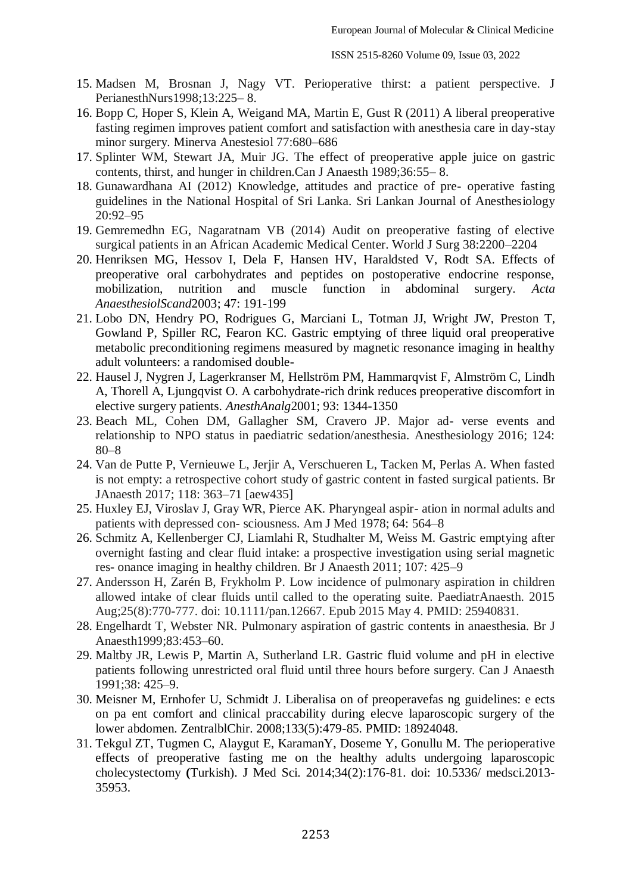- 15. Madsen M, Brosnan J, Nagy VT. Perioperative thirst: a patient perspective. J PerianesthNurs1998;13:225– 8.
- 16. Bopp C, Hoper S, Klein A, Weigand MA, Martin E, Gust R (2011) A liberal preoperative fasting regimen improves patient comfort and satisfaction with anesthesia care in day-stay minor surgery. Minerva Anestesiol 77:680–686
- 17. Splinter WM, Stewart JA, Muir JG. The effect of preoperative apple juice on gastric contents, thirst, and hunger in children.Can J Anaesth 1989;36:55– 8.
- 18. Gunawardhana AI (2012) Knowledge, attitudes and practice of pre- operative fasting guidelines in the National Hospital of Sri Lanka. Sri Lankan Journal of Anesthesiology 20:92–95
- 19. Gemremedhn EG, Nagaratnam VB (2014) Audit on preoperative fasting of elective surgical patients in an African Academic Medical Center. World J Surg 38:2200–2204
- 20. Henriksen MG, Hessov I, Dela F, Hansen HV, Haraldsted V, Rodt SA. Effects of preoperative oral carbohydrates and peptides on postoperative endocrine response, mobilization, nutrition and muscle function in abdominal surgery. *Acta AnaesthesiolScand*2003; 47: 191-199
- 21. Lobo DN, Hendry PO, Rodrigues G, Marciani L, Totman JJ, Wright JW, Preston T, Gowland P, Spiller RC, Fearon KC. Gastric emptying of three liquid oral preoperative metabolic preconditioning regimens measured by magnetic resonance imaging in healthy adult volunteers: a randomised double-
- 22. Hausel J, Nygren J, Lagerkranser M, Hellström PM, Hammarqvist F, Almström C, Lindh A, Thorell A, Ljungqvist O. A carbohydrate-rich drink reduces preoperative discomfort in elective surgery patients. *AnesthAnalg*2001; 93: 1344-1350
- 23. Beach ML, Cohen DM, Gallagher SM, Cravero JP. Major ad- verse events and relationship to NPO status in paediatric sedation/anesthesia. Anesthesiology 2016; 124: 80–8
- 24. Van de Putte P, Vernieuwe L, Jerjir A, Verschueren L, Tacken M, Perlas A. When fasted is not empty: a retrospective cohort study of gastric content in fasted surgical patients. Br JAnaesth 2017; 118: 363–71 [aew435]
- 25. Huxley EJ, Viroslav J, Gray WR, Pierce AK. Pharyngeal aspir- ation in normal adults and patients with depressed con- sciousness. Am J Med 1978; 64: 564–8
- 26. Schmitz A, Kellenberger CJ, Liamlahi R, Studhalter M, Weiss M. Gastric emptying after overnight fasting and clear fluid intake: a prospective investigation using serial magnetic res- onance imaging in healthy children. Br J Anaesth 2011; 107: 425–9
- 27. Andersson H, Zarén B, Frykholm P. Low incidence of pulmonary aspiration in children allowed intake of clear fluids until called to the operating suite. PaediatrAnaesth. 2015 Aug;25(8):770-777. doi: 10.1111/pan.12667. Epub 2015 May 4. PMID: 25940831.
- 28. Engelhardt T, Webster NR. Pulmonary aspiration of gastric contents in anaesthesia. Br J Anaesth1999;83:453–60.
- 29. Maltby JR, Lewis P, Martin A, Sutherland LR. Gastric fluid volume and pH in elective patients following unrestricted oral fluid until three hours before surgery. Can J Anaesth 1991;38: 425–9.
- 30. Meisner M, Ernhofer U, Schmidt J. Liberalisa on of preoperavefas ng guidelines: e ects on pa ent comfort and clinical praccability during elecve laparoscopic surgery of the lower abdomen. ZentralblChir. 2008;133(5):479-85. PMID: 18924048.
- 31. Tekgul ZT, Tugmen C, Alaygut E, KaramanY, Doseme Y, Gonullu M. The perioperative effects of preoperative fasting me on the healthy adults undergoing laparoscopic cholecystectomy **(**Turkish). J Med Sci. 2014;34(2):176-81. doi: 10.5336/ medsci.2013- 35953.